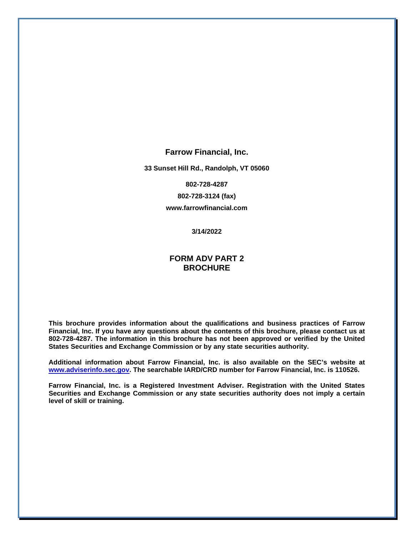#### **Farrow Financial, Inc.**

**33 Sunset Hill Rd., Randolph, VT 05060**

**802-728-4287**

**802-728-3124 (fax)**

**www.farrowfinancial.com**

**3/14/2022**

# **FORM ADV PART 2 BROCHURE**

**This brochure provides information about the qualifications and business practices of Farrow Financial, Inc. If you have any questions about the contents of this brochure, please contact us at 802-728-4287. The information in this brochure has not been approved or verified by the United States Securities and Exchange Commission or by any state securities authority.**

**Additional information about Farrow Financial, Inc. is also available on the SEC's website at [www.adviserinfo.sec.gov.](http://www.adviserinfo.sec.gov/) The searchable IARD/CRD number for Farrow Financial, Inc. is 110526.** 

**Farrow Financial, Inc. is a Registered Investment Adviser. Registration with the United States Securities and Exchange Commission or any state securities authority does not imply a certain level of skill or training.**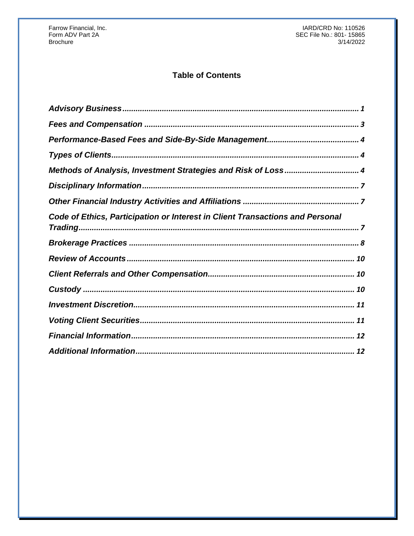# **Table of Contents**

| Methods of Analysis, Investment Strategies and Risk of Loss 4                 |
|-------------------------------------------------------------------------------|
|                                                                               |
|                                                                               |
| Code of Ethics, Participation or Interest in Client Transactions and Personal |
|                                                                               |
|                                                                               |
|                                                                               |
|                                                                               |
|                                                                               |
|                                                                               |
|                                                                               |
|                                                                               |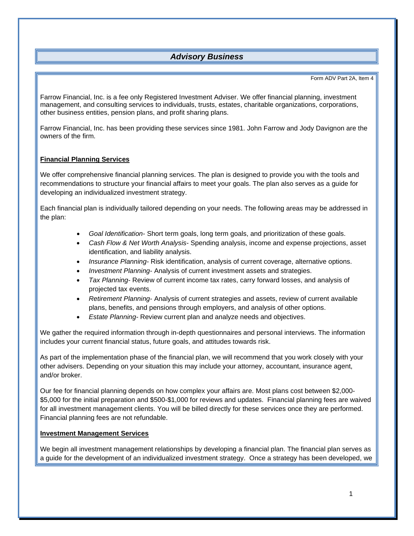# *Advisory Business*

#### Form ADV Part 2A, Item 4

<span id="page-2-0"></span>Farrow Financial, Inc. is a fee only Registered Investment Adviser. We offer financial planning, investment management, and consulting services to individuals, trusts, estates, charitable organizations, corporations, other business entities, pension plans, and profit sharing plans.

Farrow Financial, Inc. has been providing these services since 1981. John Farrow and Jody Davignon are the owners of the firm.

### **Financial Planning Services**

We offer comprehensive financial planning services. The plan is designed to provide you with the tools and recommendations to structure your financial affairs to meet your goals. The plan also serves as a guide for developing an individualized investment strategy.

Each financial plan is individually tailored depending on your needs. The following areas may be addressed in the plan:

- *Goal Identification-* Short term goals, long term goals, and prioritization of these goals.
- *Cash Flow & Net Worth Analysis-* Spending analysis, income and expense projections, asset identification, and liability analysis.
- *Insurance Planning-* Risk identification, analysis of current coverage, alternative options.
- *Investment Planning-* Analysis of current investment assets and strategies.
- *Tax Planning-* Review of current income tax rates, carry forward losses, and analysis of projected tax events.
- *Retirement Planning-* Analysis of current strategies and assets, review of current available plans, benefits, and pensions through employers, and analysis of other options.
- *Estate Planning-* Review current plan and analyze needs and objectives.

We gather the required information through in-depth questionnaires and personal interviews. The information includes your current financial status, future goals, and attitudes towards risk.

As part of the implementation phase of the financial plan, we will recommend that you work closely with your other advisers. Depending on your situation this may include your attorney, accountant, insurance agent, and/or broker.

Our fee for financial planning depends on how complex your affairs are. Most plans cost between \$2,000- \$5,000 for the initial preparation and \$500-\$1,000 for reviews and updates. Financial planning fees are waived for all investment management clients. You will be billed directly for these services once they are performed. Financial planning fees are not refundable.

### **Investment Management Services**

We begin all investment management relationships by developing a financial plan. The financial plan serves as a guide for the development of an individualized investment strategy. Once a strategy has been developed, we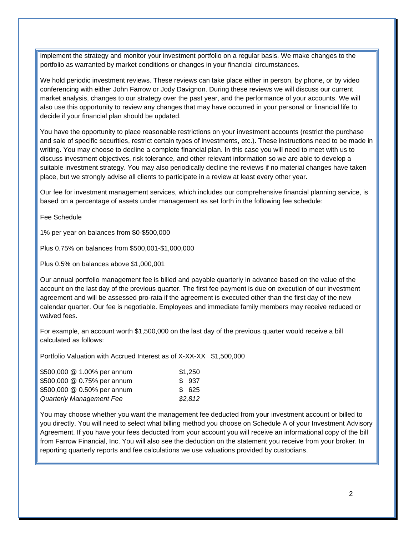implement the strategy and monitor your investment portfolio on a regular basis. We make changes to the portfolio as warranted by market conditions or changes in your financial circumstances.

We hold periodic investment reviews. These reviews can take place either in person, by phone, or by video conferencing with either John Farrow or Jody Davignon. During these reviews we will discuss our current market analysis, changes to our strategy over the past year, and the performance of your accounts. We will also use this opportunity to review any changes that may have occurred in your personal or financial life to decide if your financial plan should be updated.

You have the opportunity to place reasonable restrictions on your investment accounts (restrict the purchase and sale of specific securities, restrict certain types of investments, etc.). These instructions need to be made in writing. You may choose to decline a complete financial plan. In this case you will need to meet with us to discuss investment objectives, risk tolerance, and other relevant information so we are able to develop a suitable investment strategy. You may also periodically decline the reviews if no material changes have taken place, but we strongly advise all clients to participate in a review at least every other year.

Our fee for investment management services, which includes our comprehensive financial planning service, is based on a percentage of assets under management as set forth in the following fee schedule:

Fee Schedule

1% per year on balances from \$0-\$500,000

Plus 0.75% on balances from \$500,001-\$1,000,000

Plus 0.5% on balances above \$1,000,001

Our annual portfolio management fee is billed and payable quarterly in advance based on the value of the account on the last day of the previous quarter. The first fee payment is due on execution of our investment agreement and will be assessed pro-rata if the agreement is executed other than the first day of the new calendar quarter. Our fee is negotiable. Employees and immediate family members may receive reduced or waived fees.

For example, an account worth \$1,500,000 on the last day of the previous quarter would receive a bill calculated as follows:

Portfolio Valuation with Accrued Interest as of X-XX-XX \$1,500,000

| \$500,000 @ 1.00% per annum | \$1,250 |
|-----------------------------|---------|
| \$500,000 @ 0.75% per annum | \$937   |
| \$500,000 @ 0.50% per annum | \$ 625  |
| Quarterly Management Fee    | \$2,812 |

You may choose whether you want the management fee deducted from your investment account or billed to you directly. You will need to select what billing method you choose on Schedule A of your Investment Advisory Agreement. If you have your fees deducted from your account you will receive an informational copy of the bill from Farrow Financial, Inc. You will also see the deduction on the statement you receive from your broker. In reporting quarterly reports and fee calculations we use valuations provided by custodians.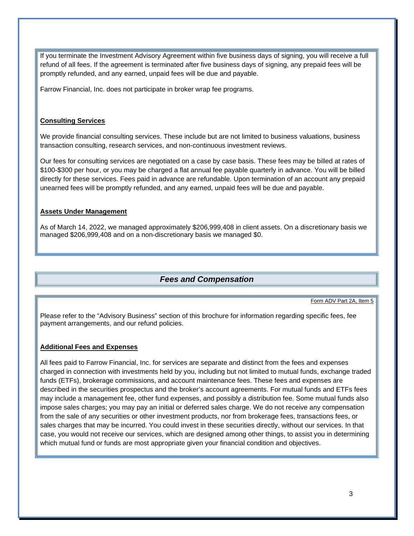If you terminate the Investment Advisory Agreement within five business days of signing, you will receive a full refund of all fees. If the agreement is terminated after five business days of signing, any prepaid fees will be promptly refunded, and any earned, unpaid fees will be due and payable.

Farrow Financial, Inc. does not participate in broker wrap fee programs.

### **Consulting Services**

We provide financial consulting services. These include but are not limited to business valuations, business transaction consulting, research services, and non-continuous investment reviews.

Our fees for consulting services are negotiated on a case by case basis. These fees may be billed at rates of \$100-\$300 per hour, or you may be charged a flat annual fee payable quarterly in advance. You will be billed directly for these services. Fees paid in advance are refundable. Upon termination of an account any prepaid unearned fees will be promptly refunded, and any earned, unpaid fees will be due and payable.

### **Assets Under Management**

As of March 14, 2022, we managed approximately \$206,999,408 in client assets. On a discretionary basis we managed \$206,999,408 and on a non-discretionary basis we managed \$0.

## *Fees and Compensation*

Form ADV Part 2A, Item 5

<span id="page-4-0"></span>Please refer to the "Advisory Business" section of this brochure for information regarding specific fees, fee payment arrangements, and our refund policies.

### **Additional Fees and Expenses**

All fees paid to Farrow Financial, Inc. for services are separate and distinct from the fees and expenses charged in connection with investments held by you, including but not limited to mutual funds, exchange traded funds (ETFs), brokerage commissions, and account maintenance fees. These fees and expenses are described in the securities prospectus and the broker's account agreements. For mutual funds and ETFs fees may include a management fee, other fund expenses, and possibly a distribution fee. Some mutual funds also impose sales charges; you may pay an initial or deferred sales charge. We do not receive any compensation from the sale of any securities or other investment products, nor from brokerage fees, transactions fees, or sales charges that may be incurred. You could invest in these securities directly, without our services. In that case, you would not receive our services, which are designed among other things, to assist you in determining which mutual fund or funds are most appropriate given your financial condition and objectives.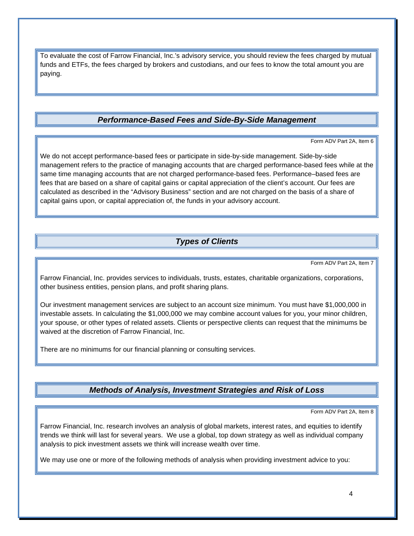To evaluate the cost of Farrow Financial, Inc.'s advisory service, you should review the fees charged by mutual funds and ETFs, the fees charged by brokers and custodians, and our fees to know the total amount you are paying.

# *Performance-Based Fees and Side-By-Side Management*

Form ADV Part 2A, Item 6

<span id="page-5-0"></span>We do not accept performance-based fees or participate in side-by-side management. Side-by-side management refers to the practice of managing accounts that are charged performance-based fees while at the same time managing accounts that are not charged performance-based fees. Performance–based fees are fees that are based on a share of capital gains or capital appreciation of the client's account. Our fees are calculated as described in the "Advisory Business" section and are not charged on the basis of a share of capital gains upon, or capital appreciation of, the funds in your advisory account.

# *Types of Clients*

Form ADV Part 2A, Item 7

<span id="page-5-1"></span>Farrow Financial, Inc. provides services to individuals, trusts, estates, charitable organizations, corporations, other business entities, pension plans, and profit sharing plans.

Our investment management services are subject to an account size minimum. You must have \$1,000,000 in investable assets. In calculating the \$1,000,000 we may combine account values for you, your minor children, your spouse, or other types of related assets. Clients or perspective clients can request that the minimums be waived at the discretion of Farrow Financial, Inc.

There are no minimums for our financial planning or consulting services.

## *Methods of Analysis, Investment Strategies and Risk of Loss*

Form ADV Part 2A, Item 8

<span id="page-5-2"></span>Farrow Financial, Inc. research involves an analysis of global markets, interest rates, and equities to identify trends we think will last for several years. We use a global, top down strategy as well as individual company analysis to pick investment assets we think will increase wealth over time.

We may use one or more of the following methods of analysis when providing investment advice to you: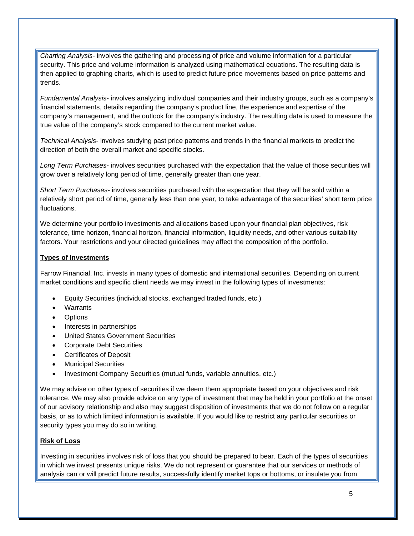*Charting Analysis*- involves the gathering and processing of price and volume information for a particular security. This price and volume information is analyzed using mathematical equations. The resulting data is then applied to graphing charts, which is used to predict future price movements based on price patterns and trends.

*Fundamental Analysis-* involves analyzing individual companies and their industry groups, such as a company's financial statements, details regarding the company's product line, the experience and expertise of the company's management, and the outlook for the company's industry. The resulting data is used to measure the true value of the company's stock compared to the current market value.

*Technical Analysis-* involves studying past price patterns and trends in the financial markets to predict the direction of both the overall market and specific stocks.

*Long Term Purchases-* involves securities purchased with the expectation that the value of those securities will grow over a relatively long period of time, generally greater than one year.

*Short Term Purchases-* involves securities purchased with the expectation that they will be sold within a relatively short period of time, generally less than one year, to take advantage of the securities' short term price fluctuations.

We determine your portfolio investments and allocations based upon your financial plan objectives, risk tolerance, time horizon, financial horizon, financial information, liquidity needs, and other various suitability factors. Your restrictions and your directed guidelines may affect the composition of the portfolio.

#### **Types of Investments**

Farrow Financial, Inc. invests in many types of domestic and international securities. Depending on current market conditions and specific client needs we may invest in the following types of investments:

- Equity Securities (individual stocks, exchanged traded funds, etc.)
- **Warrants**
- **Options**
- Interests in partnerships
- United States Government Securities
- Corporate Debt Securities
- Certificates of Deposit
- Municipal Securities
- Investment Company Securities (mutual funds, variable annuities, etc.)

We may advise on other types of securities if we deem them appropriate based on your objectives and risk tolerance. We may also provide advice on any type of investment that may be held in your portfolio at the onset of our advisory relationship and also may suggest disposition of investments that we do not follow on a regular basis, or as to which limited information is available. If you would like to restrict any particular securities or security types you may do so in writing.

#### **Risk of Loss**

Investing in securities involves risk of loss that you should be prepared to bear. Each of the types of securities in which we invest presents unique risks. We do not represent or guarantee that our services or methods of analysis can or will predict future results, successfully identify market tops or bottoms, or insulate you from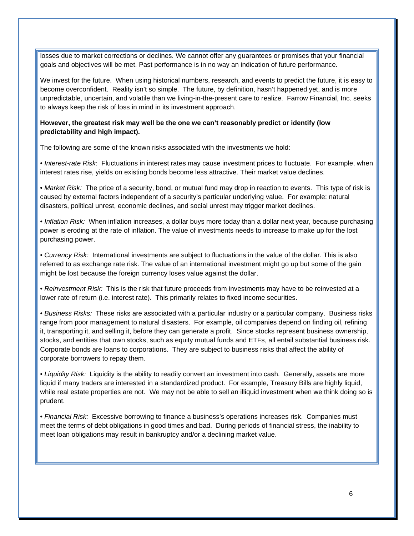losses due to market corrections or declines. We cannot offer any guarantees or promises that your financial goals and objectives will be met. Past performance is in no way an indication of future performance.

We invest for the future. When using historical numbers, research, and events to predict the future, it is easy to become overconfident. Reality isn't so simple. The future, by definition, hasn't happened yet, and is more unpredictable, uncertain, and volatile than we living-in-the-present care to realize. Farrow Financial, Inc. seeks to always keep the risk of loss in mind in its investment approach.

#### **However, the greatest risk may well be the one we can't reasonably predict or identify (low predictability and high impact).**

The following are some of the known risks associated with the investments we hold:

*• Interest-rate Risk*: Fluctuations in interest rates may cause investment prices to fluctuate. For example, when interest rates rise, yields on existing bonds become less attractive. Their market value declines.

• *Market Risk:* The price of a security, bond, or mutual fund may drop in reaction to events. This type of risk is caused by external factors independent of a security's particular underlying value. For example: natural disasters, political unrest, economic declines, and social unrest may trigger market declines.

*• Inflation Risk:* When inflation increases, a dollar buys more today than a dollar next year, because purchasing power is eroding at the rate of inflation. The value of investments needs to increase to make up for the lost purchasing power.

*• Currency Risk:* International investments are subject to fluctuations in the value of the dollar. This is also referred to as exchange rate risk. The value of an international investment might go up but some of the gain might be lost because the foreign currency loses value against the dollar.

*• Reinvestment Risk:* This is the risk that future proceeds from investments may have to be reinvested at a lower rate of return (i.e. interest rate). This primarily relates to fixed income securities.

*• Business Risks:* These risks are associated with a particular industry or a particular company. Business risks range from poor management to natural disasters. For example, oil companies depend on finding oil, refining it, transporting it, and selling it, before they can generate a profit. Since stocks represent business ownership, stocks, and entities that own stocks, such as equity mutual funds and ETFs, all entail substantial business risk. Corporate bonds are loans to corporations. They are subject to business risks that affect the ability of corporate borrowers to repay them.

*• Liquidity Risk:* Liquidity is the ability to readily convert an investment into cash. Generally, assets are more liquid if many traders are interested in a standardized product. For example, Treasury Bills are highly liquid, while real estate properties are not. We may not be able to sell an illiquid investment when we think doing so is prudent.

*• Financial Risk:* Excessive borrowing to finance a business's operations increases risk. Companies must meet the terms of debt obligations in good times and bad. During periods of financial stress, the inability to meet loan obligations may result in bankruptcy and/or a declining market value.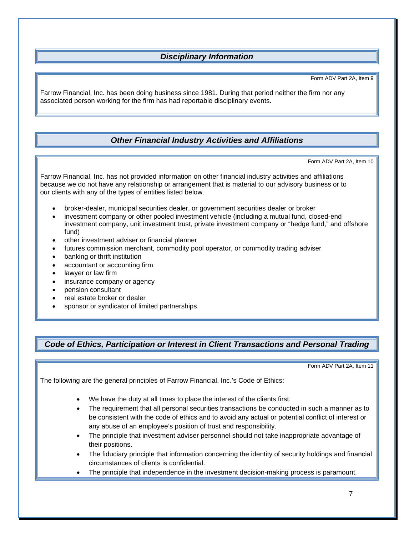# *Disciplinary Information*

Form ADV Part 2A, Item 9

<span id="page-8-0"></span>Farrow Financial, Inc. has been doing business since 1981. During that period neither the firm nor any associated person working for the firm has had reportable disciplinary events.

# *Other Financial Industry Activities and Affiliations*

Form ADV Part 2A, Item 10

<span id="page-8-1"></span>Farrow Financial, Inc. has not provided information on other financial industry activities and affiliations because we do not have any relationship or arrangement that is material to our advisory business or to our clients with any of the types of entities listed below.

- broker-dealer, municipal securities dealer, or government securities dealer or broker
- investment company or other pooled investment vehicle (including a mutual fund, closed-end investment company, unit investment trust, private investment company or "hedge fund," and offshore fund)
- other investment adviser or financial planner
- futures commission merchant, commodity pool operator, or commodity trading adviser
- banking or thrift institution
- accountant or accounting firm
- lawyer or law firm
- insurance company or agency
- pension consultant
- real estate broker or dealer
- sponsor or syndicator of limited partnerships.

## <span id="page-8-2"></span>*Code of Ethics, Participation or Interest in Client Transactions and Personal Trading*

Form ADV Part 2A, Item 11

The following are the general principles of Farrow Financial, Inc.'s Code of Ethics:

- We have the duty at all times to place the interest of the clients first.
- The requirement that all personal securities transactions be conducted in such a manner as to be consistent with the code of ethics and to avoid any actual or potential conflict of interest or any abuse of an employee's position of trust and responsibility.
- The principle that investment adviser personnel should not take inappropriate advantage of their positions.
- The fiduciary principle that information concerning the identity of security holdings and financial circumstances of clients is confidential.
- The principle that independence in the investment decision-making process is paramount.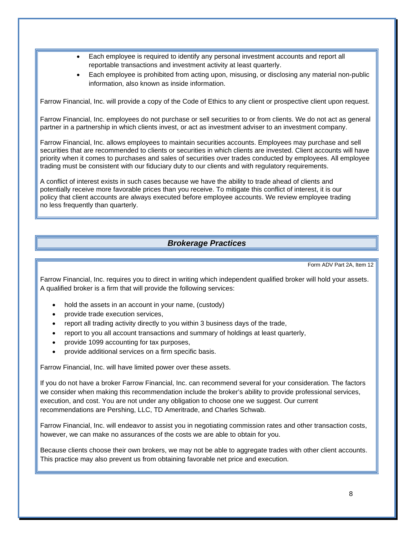- Each employee is required to identify any personal investment accounts and report all reportable transactions and investment activity at least quarterly.
- Each employee is prohibited from acting upon, misusing, or disclosing any material non-public information, also known as inside information.

Farrow Financial, Inc. will provide a copy of the Code of Ethics to any client or prospective client upon request.

Farrow Financial, Inc. employees do not purchase or sell securities to or from clients. We do not act as general partner in a partnership in which clients invest, or act as investment adviser to an investment company.

Farrow Financial, Inc. allows employees to maintain securities accounts. Employees may purchase and sell securities that are recommended to clients or securities in which clients are invested. Client accounts will have priority when it comes to purchases and sales of securities over trades conducted by employees. All employee trading must be consistent with our fiduciary duty to our clients and with regulatory requirements.

A conflict of interest exists in such cases because we have the ability to trade ahead of clients and potentially receive more favorable prices than you receive. To mitigate this conflict of interest, it is our policy that client accounts are always executed before employee accounts. We review employee trading no less frequently than quarterly.

### *Brokerage Practices*

Form ADV Part 2A, Item 12

<span id="page-9-0"></span>Farrow Financial, Inc. requires you to direct in writing which independent qualified broker will hold your assets. A qualified broker is a firm that will provide the following services:

- hold the assets in an account in your name, (custody)
- provide trade execution services,
- report all trading activity directly to you within 3 business days of the trade,
- report to you all account transactions and summary of holdings at least quarterly,
- provide 1099 accounting for tax purposes,
- provide additional services on a firm specific basis.

Farrow Financial, Inc. will have limited power over these assets.

If you do not have a broker Farrow Financial, Inc. can recommend several for your consideration. The factors we consider when making this recommendation include the broker's ability to provide professional services, execution, and cost. You are not under any obligation to choose one we suggest. Our current recommendations are Pershing, LLC, TD Ameritrade, and Charles Schwab.

Farrow Financial, Inc. will endeavor to assist you in negotiating commission rates and other transaction costs, however, we can make no assurances of the costs we are able to obtain for you.

Because clients choose their own brokers, we may not be able to aggregate trades with other client accounts. This practice may also prevent us from obtaining favorable net price and execution.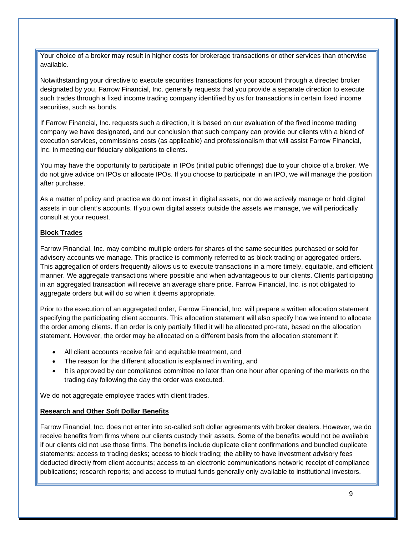Your choice of a broker may result in higher costs for brokerage transactions or other services than otherwise available.

Notwithstanding your directive to execute securities transactions for your account through a directed broker designated by you, Farrow Financial, Inc. generally requests that you provide a separate direction to execute such trades through a fixed income trading company identified by us for transactions in certain fixed income securities, such as bonds.

If Farrow Financial, Inc. requests such a direction, it is based on our evaluation of the fixed income trading company we have designated, and our conclusion that such company can provide our clients with a blend of execution services, commissions costs (as applicable) and professionalism that will assist Farrow Financial, Inc. in meeting our fiduciary obligations to clients.

You may have the opportunity to participate in IPOs (initial public offerings) due to your choice of a broker. We do not give advice on IPOs or allocate IPOs. If you choose to participate in an IPO, we will manage the position after purchase.

As a matter of policy and practice we do not invest in digital assets, nor do we actively manage or hold digital assets in our client's accounts. If you own digital assets outside the assets we manage, we will periodically consult at your request.

### **Block Trades**

Farrow Financial, Inc. may combine multiple orders for shares of the same securities purchased or sold for advisory accounts we manage. This practice is commonly referred to as block trading or aggregated orders. This aggregation of orders frequently allows us to execute transactions in a more timely, equitable, and efficient manner. We aggregate transactions where possible and when advantageous to our clients. Clients participating in an aggregated transaction will receive an average share price. Farrow Financial, Inc. is not obligated to aggregate orders but will do so when it deems appropriate.

Prior to the execution of an aggregated order, Farrow Financial, Inc. will prepare a written allocation statement specifying the participating client accounts. This allocation statement will also specify how we intend to allocate the order among clients. If an order is only partially filled it will be allocated pro-rata, based on the allocation statement. However, the order may be allocated on a different basis from the allocation statement if:

- All client accounts receive fair and equitable treatment, and
- The reason for the different allocation is explained in writing, and
- It is approved by our compliance committee no later than one hour after opening of the markets on the trading day following the day the order was executed.

We do not aggregate employee trades with client trades.

### **Research and Other Soft Dollar Benefits**

Farrow Financial, Inc. does not enter into so-called soft dollar agreements with broker dealers. However, we do receive benefits from firms where our clients custody their assets. Some of the benefits would not be available if our clients did not use those firms. The benefits include duplicate client confirmations and bundled duplicate statements; access to trading desks; access to block trading; the ability to have investment advisory fees deducted directly from client accounts; access to an electronic communications network; receipt of compliance publications; research reports; and access to mutual funds generally only available to institutional investors.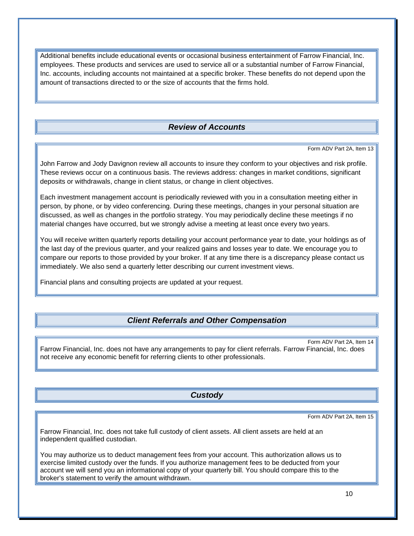Additional benefits include educational events or occasional business entertainment of Farrow Financial, Inc. employees. These products and services are used to service all or a substantial number of Farrow Financial, Inc. accounts, including accounts not maintained at a specific broker. These benefits do not depend upon the amount of transactions directed to or the size of accounts that the firms hold.

# *Review of Accounts*

Form ADV Part 2A, Item 13

<span id="page-11-0"></span>John Farrow and Jody Davignon review all accounts to insure they conform to your objectives and risk profile. These reviews occur on a continuous basis. The reviews address: changes in market conditions, significant deposits or withdrawals, change in client status, or change in client objectives.

Each investment management account is periodically reviewed with you in a consultation meeting either in person, by phone, or by video conferencing. During these meetings, changes in your personal situation are discussed, as well as changes in the portfolio strategy. You may periodically decline these meetings if no material changes have occurred, but we strongly advise a meeting at least once every two years.

You will receive written quarterly reports detailing your account performance year to date, your holdings as of the last day of the previous quarter, and your realized gains and losses year to date. We encourage you to compare our reports to those provided by your broker. If at any time there is a discrepancy please contact us immediately. We also send a quarterly letter describing our current investment views.

Financial plans and consulting projects are updated at your request.

# *Client Referrals and Other Compensation*

<span id="page-11-1"></span>Form ADV Part 2A, Item 14 Farrow Financial, Inc. does not have any arrangements to pay for client referrals. Farrow Financial, Inc. does not receive any economic benefit for referring clients to other professionals.

*Custody*

Form ADV Part 2A, Item 15

<span id="page-11-2"></span>Farrow Financial, Inc. does not take full custody of client assets. All client assets are held at an independent qualified custodian.

You may authorize us to deduct management fees from your account. This authorization allows us to exercise limited custody over the funds. If you authorize management fees to be deducted from your account we will send you an informational copy of your quarterly bill. You should compare this to the broker's statement to verify the amount withdrawn.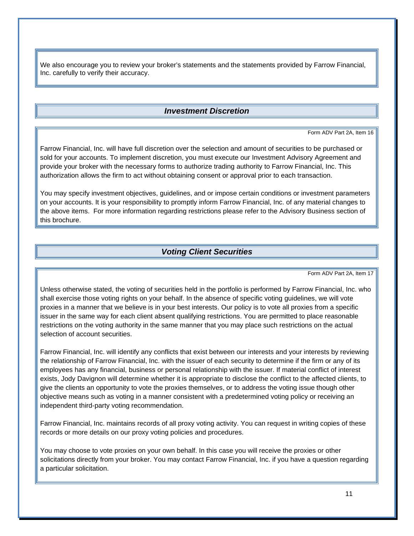We also encourage you to review your broker's statements and the statements provided by Farrow Financial, Inc. carefully to verify their accuracy.

### *Investment Discretion*

Form ADV Part 2A, Item 16

<span id="page-12-0"></span>Farrow Financial, Inc. will have full discretion over the selection and amount of securities to be purchased or sold for your accounts. To implement discretion, you must execute our Investment Advisory Agreement and provide your broker with the necessary forms to authorize trading authority to Farrow Financial, Inc. This authorization allows the firm to act without obtaining consent or approval prior to each transaction.

You may specify investment objectives, guidelines, and or impose certain conditions or investment parameters on your accounts. It is your responsibility to promptly inform Farrow Financial, Inc. of any material changes to the above items. For more information regarding restrictions please refer to the Advisory Business section of this brochure.

### *Voting Client Securities*

Form ADV Part 2A, Item 17

<span id="page-12-1"></span>Unless otherwise stated, the voting of securities held in the portfolio is performed by Farrow Financial, Inc. who shall exercise those voting rights on your behalf. In the absence of specific voting guidelines, we will vote proxies in a manner that we believe is in your best interests. Our policy is to vote all proxies from a specific issuer in the same way for each client absent qualifying restrictions. You are permitted to place reasonable restrictions on the voting authority in the same manner that you may place such restrictions on the actual selection of account securities.

Farrow Financial, Inc. will identify any conflicts that exist between our interests and your interests by reviewing the relationship of Farrow Financial, Inc. with the issuer of each security to determine if the firm or any of its employees has any financial, business or personal relationship with the issuer. If material conflict of interest exists, Jody Davignon will determine whether it is appropriate to disclose the conflict to the affected clients, to give the clients an opportunity to vote the proxies themselves, or to address the voting issue though other objective means such as voting in a manner consistent with a predetermined voting policy or receiving an independent third-party voting recommendation.

Farrow Financial, Inc. maintains records of all proxy voting activity. You can request in writing copies of these records or more details on our proxy voting policies and procedures.

You may choose to vote proxies on your own behalf. In this case you will receive the proxies or other solicitations directly from your broker. You may contact Farrow Financial, Inc. if you have a question regarding a particular solicitation.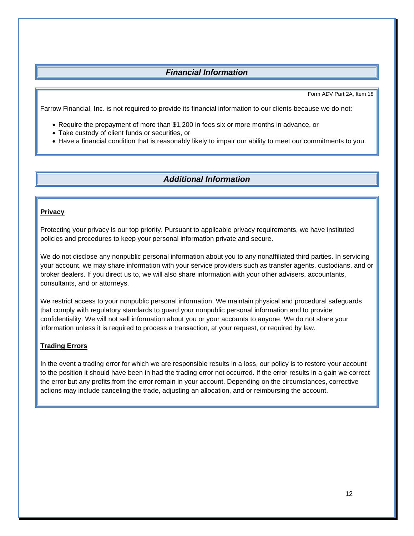# *Financial Information*

Form ADV Part 2A, Item 18

<span id="page-13-0"></span>Farrow Financial, Inc. is not required to provide its financial information to our clients because we do not:

- Require the prepayment of more than \$1,200 in fees six or more months in advance, or
- Take custody of client funds or securities, or
- Have a financial condition that is reasonably likely to impair our ability to meet our commitments to you.

### *Additional Information*

### <span id="page-13-1"></span>**Privacy**

Protecting your privacy is our top priority. Pursuant to applicable privacy requirements, we have instituted policies and procedures to keep your personal information private and secure.

We do not disclose any nonpublic personal information about you to any nonaffiliated third parties. In servicing your account, we may share information with your service providers such as transfer agents, custodians, and or broker dealers. If you direct us to, we will also share information with your other advisers, accountants, consultants, and or attorneys.

We restrict access to your nonpublic personal information. We maintain physical and procedural safeguards that comply with regulatory standards to guard your nonpublic personal information and to provide confidentiality. We will not sell information about you or your accounts to anyone. We do not share your information unless it is required to process a transaction, at your request, or required by law.

#### **Trading Errors**

In the event a trading error for which we are responsible results in a loss, our policy is to restore your account to the position it should have been in had the trading error not occurred. If the error results in a gain we correct the error but any profits from the error remain in your account. Depending on the circumstances, corrective actions may include canceling the trade, adjusting an allocation, and or reimbursing the account.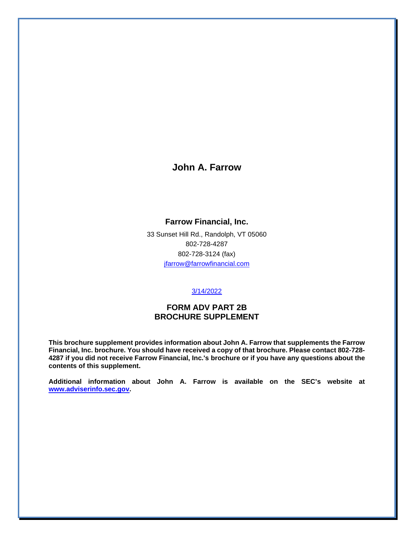# **John A. Farrow**

### **Farrow Financial, Inc.**

33 Sunset Hill Rd., Randolph, VT 05060 802-728-4287 802-728-3124 (fax) [jfarrow@farrowfinancial.com](mailto:jfarrow@farrowfinancial.com)

#### 3/14/2022

### **FORM ADV PART 2B BROCHURE SUPPLEMENT**

**This brochure supplement provides information about John A. Farrow that supplements the Farrow Financial, Inc. brochure. You should have received a copy of that brochure. Please contact 802-728- 4287 if you did not receive Farrow Financial, Inc.'s brochure or if you have any questions about the contents of this supplement.**

**Additional information about John A. Farrow is available on the SEC's website at [www.adviserinfo.sec.gov.](http://www.adviserinfo.sec.gov/)**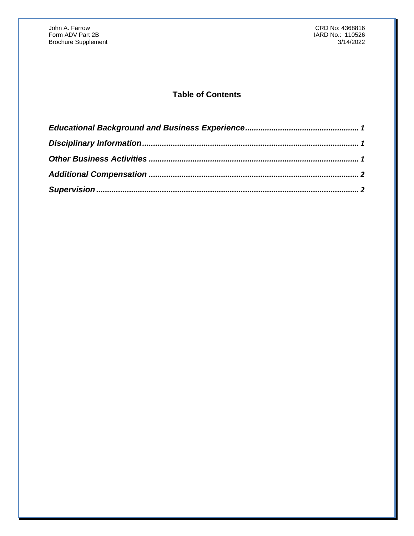# **Table of Contents**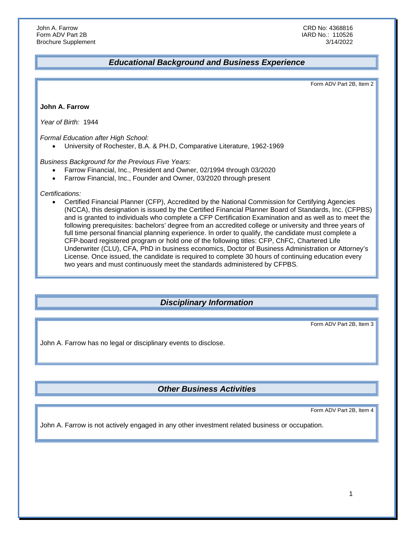## <span id="page-16-0"></span>*Educational Background and Business Experience*

Form ADV Part 2B, Item 2

**John A. Farrow**

*Year of Birth:* 1944

*Formal Education after High School:*

• University of Rochester, B.A. & PH.D, Comparative Literature, 1962-1969

*Business Background for the Previous Five Years:*

- Farrow Financial, Inc., President and Owner, 02/1994 through 03/2020
- Farrow Financial, Inc., Founder and Owner, 03/2020 through present

*Certifications:*

• Certified Financial Planner (CFP), Accredited by the National Commission for Certifying Agencies (NCCA), this designation is issued by the Certified Financial Planner Board of Standards, Inc. (CFPBS) and is granted to individuals who complete a CFP Certification Examination and as well as to meet the following prerequisites: bachelors' degree from an accredited college or university and three years of full time personal financial planning experience. In order to qualify, the candidate must complete a CFP-board registered program or hold one of the following titles: CFP, ChFC, Chartered Life Underwriter (CLU), CFA, PhD in business economics, Doctor of Business Administration or Attorney's License. Once issued, the candidate is required to complete 30 hours of continuing education every two years and must continuously meet the standards administered by CFPBS.

## <span id="page-16-1"></span>*Disciplinary Information*

Form ADV Part 2B, Item 3

John A. Farrow has no legal or disciplinary events to disclose.

# <span id="page-16-2"></span>*Other Business Activities*

Form ADV Part 2B, Item 4

John A. Farrow is not actively engaged in any other investment related business or occupation.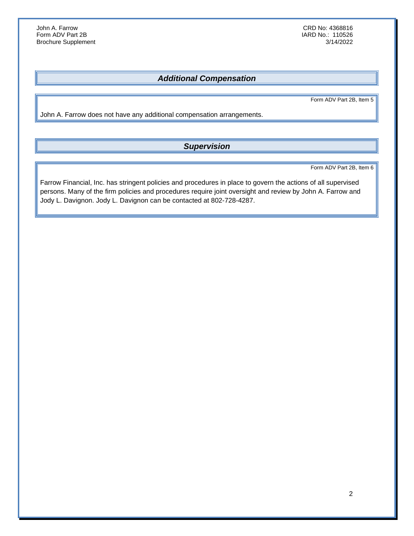IARD No.: 110526<br>3/14/2022

# <span id="page-17-0"></span>*Additional Compensation*

Form ADV Part 2B, Item 5

John A. Farrow does not have any additional compensation arrangements.

# <span id="page-17-1"></span>*Supervision*

Form ADV Part 2B, Item 6

Farrow Financial, Inc. has stringent policies and procedures in place to govern the actions of all supervised persons. Many of the firm policies and procedures require joint oversight and review by John A. Farrow and Jody L. Davignon. Jody L. Davignon can be contacted at 802-728-4287.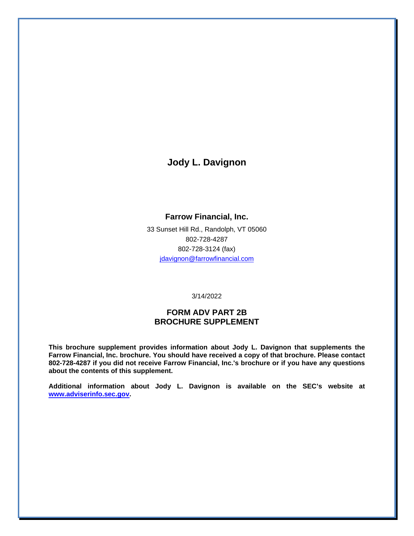**Jody L. Davignon**

### **Farrow Financial, Inc.**

33 Sunset Hill Rd., Randolph, VT 05060 802-728-4287 802-728-3124 (fax) [jdavignon@farrowfinancial.com](mailto:jdavignon@farrowfinancial.com)

3/14/2022

### **FORM ADV PART 2B BROCHURE SUPPLEMENT**

**This brochure supplement provides information about Jody L. Davignon that supplements the Farrow Financial, Inc. brochure. You should have received a copy of that brochure. Please contact 802-728-4287 if you did not receive Farrow Financial, Inc.'s brochure or if you have any questions about the contents of this supplement.**

**Additional information about Jody L. Davignon is available on the SEC's website at [www.adviserinfo.sec.gov.](http://www.adviserinfo.sec.gov/)**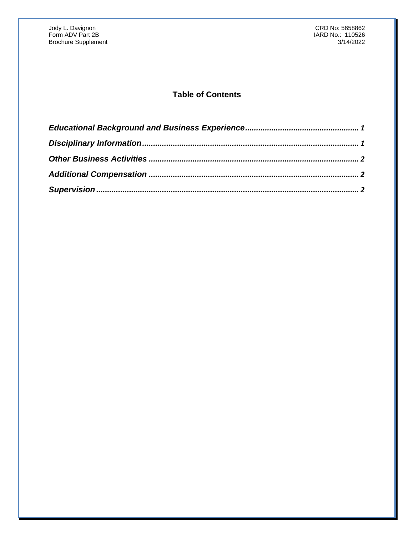# **Table of Contents**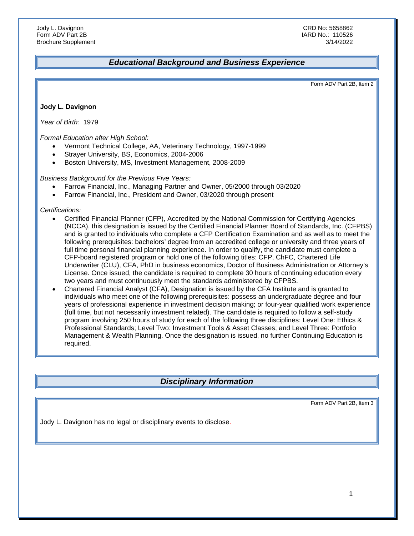### <span id="page-20-0"></span>*Educational Background and Business Experience*

Form ADV Part 2B, Item 2

**Jody L. Davignon**

*Year of Birth:* 1979

*Formal Education after High School:*

- Vermont Technical College, AA, Veterinary Technology, 1997-1999
- Strayer University, BS, Economics, 2004-2006
- Boston University, MS, Investment Management, 2008-2009

*Business Background for the Previous Five Years:*

- Farrow Financial, Inc., Managing Partner and Owner, 05/2000 through 03/2020
- Farrow Financial, Inc., President and Owner, 03/2020 through present

*Certifications:*

- Certified Financial Planner (CFP), Accredited by the National Commission for Certifying Agencies (NCCA), this designation is issued by the Certified Financial Planner Board of Standards, Inc. (CFPBS) and is granted to individuals who complete a CFP Certification Examination and as well as to meet the following prerequisites: bachelors' degree from an accredited college or university and three years of full time personal financial planning experience. In order to qualify, the candidate must complete a CFP-board registered program or hold one of the following titles: CFP, ChFC, Chartered Life Underwriter (CLU), CFA, PhD in business economics, Doctor of Business Administration or Attorney's License. Once issued, the candidate is required to complete 30 hours of continuing education every two years and must continuously meet the standards administered by CFPBS.
- Chartered Financial Analyst (CFA), Designation is issued by the CFA Institute and is granted to individuals who meet one of the following prerequisites: possess an undergraduate degree and four years of professional experience in investment decision making; or four-year qualified work experience (full time, but not necessarily investment related). The candidate is required to follow a self-study program involving 250 hours of study for each of the following three disciplines: Level One: Ethics & Professional Standards; Level Two: Investment Tools & Asset Classes; and Level Three: Portfolio Management & Wealth Planning. Once the designation is issued, no further Continuing Education is required.

## <span id="page-20-1"></span>*Disciplinary Information*

Form ADV Part 2B, Item 3

Jody L. Davignon has no legal or disciplinary events to disclose.